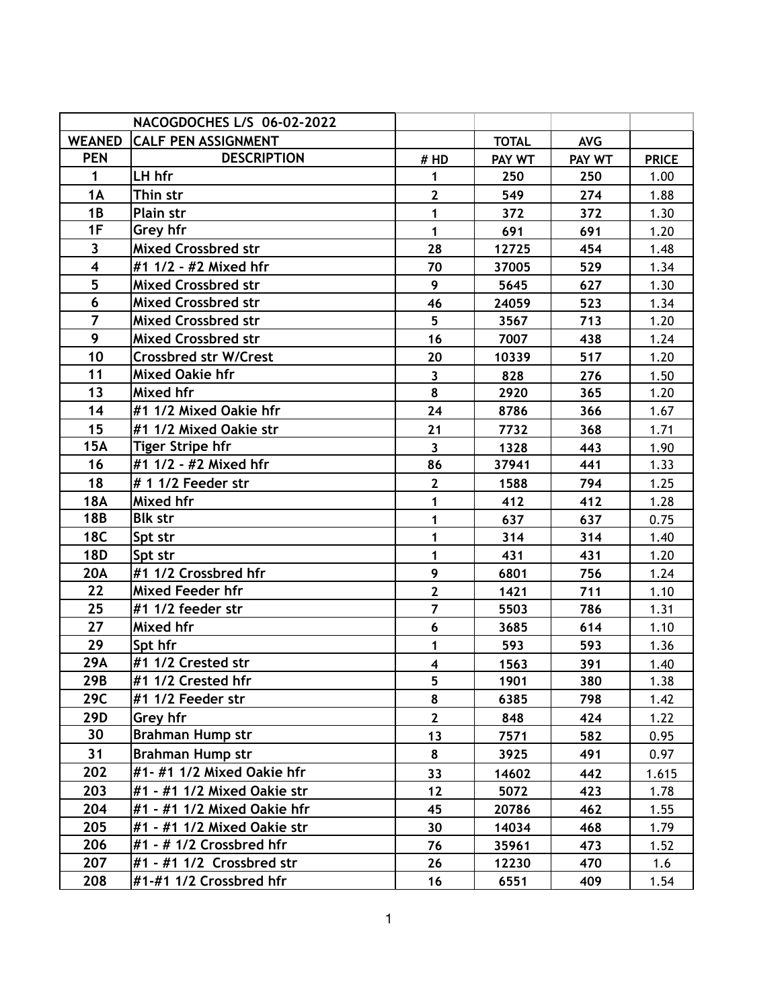| NACOGDOCHES L/S 06-02-2022 |                              |                         |              |            |              |
|----------------------------|------------------------------|-------------------------|--------------|------------|--------------|
| <b>WEANED</b>              | <b>CALF PEN ASSIGNMENT</b>   |                         | <b>TOTAL</b> | <b>AVG</b> |              |
| <b>PEN</b>                 | <b>DESCRIPTION</b>           | # HD                    | PAY WT       | PAY WT     | <b>PRICE</b> |
| $\mathbf{1}$               | LH hfr                       | $\mathbf{1}$            | 250          | 250        | 1.00         |
| 1A                         | Thin str                     | $\mathbf{2}$            | 549          | 274        | 1.88         |
| 1B                         | Plain str                    | $\mathbf{1}$            | 372          | 372        | 1.30         |
| 1F                         | Grey hfr                     | $\blacksquare$          | 691          | 691        | 1.20         |
| $\overline{\mathbf{3}}$    | <b>Mixed Crossbred str</b>   | 28                      | 12725        | 454        | 1.48         |
| $\overline{\mathbf{4}}$    | #1 1/2 - #2 Mixed hfr        | 70                      | 37005        | 529        | 1.34         |
| 5                          | <b>Mixed Crossbred str</b>   | 9                       | 5645         | 627        | 1.30         |
| $6\overline{6}$            | <b>Mixed Crossbred str</b>   | 46                      | 24059        | 523        | 1.34         |
| $\overline{7}$             | <b>Mixed Crossbred str</b>   | 5                       | 3567         | 713        | 1.20         |
| 9                          | <b>Mixed Crossbred str</b>   | 16                      | 7007         | 438        | 1.24         |
| 10                         | <b>Crossbred str W/Crest</b> | 20                      | 10339        | 517        | 1.20         |
| 11                         | <b>Mixed Oakie hfr</b>       | $\overline{\mathbf{3}}$ | 828          | 276        | 1.50         |
| 13                         | Mixed hfr                    | 8                       | 2920         | 365        | 1.20         |
| 14                         | #1 1/2 Mixed Oakie hfr       | 24                      | 8786         | 366        | 1.67         |
| 15                         | #1 1/2 Mixed Oakie str       | 21                      | 7732         | 368        | 1.71         |
| <b>15A</b>                 | <b>Tiger Stripe hfr</b>      | $\overline{\mathbf{3}}$ | 1328         | 443        | 1.90         |
| 16                         | #1 1/2 - #2 Mixed hfr        | 86                      | 37941        | 441        | 1.33         |
| 18                         | # 1 1/2 Feeder str           | $\mathbf{2}$            | 1588         | 794        | 1.25         |
| <b>18A</b>                 | Mixed hfr                    | $\mathbf{1}$            | 412          | 412        | 1.28         |
| <b>18B</b>                 | <b>Blk str</b>               | 1                       | 637          | 637        | 0.75         |
| <b>18C</b>                 | Spt str                      | 1                       | 314          | 314        | 1.40         |
| <b>18D</b>                 | Spt str                      | $\mathbf{1}$            | 431          | 431        | 1.20         |
| <b>20A</b>                 | #1 1/2 Crossbred hfr         | 9                       | 6801         | 756        | 1.24         |
| 22                         | <b>Mixed Feeder hfr</b>      | $\overline{2}$          | 1421         | 711        | 1.10         |
| 25                         | #1 1/2 feeder str            | $\overline{7}$          | 5503         | 786        | 1.31         |
| 27                         | Mixed hfr                    | 6                       | 3685         | 614        | 1.10         |
| 29                         | Spt hfr                      | $\overline{\mathbf{1}}$ | 593          | 593        | 1.36         |
| 29A                        | #1 1/2 Crested str           | $\overline{\mathbf{4}}$ | 1563         | 391        | 1.40         |
| 29B                        | #1 1/2 Crested hfr           | 5                       | 1901         | 380        | 1.38         |
| 29C                        | #1 1/2 Feeder str            | 8                       | 6385         | 798        | 1.42         |
| 29D                        | Grey hfr                     | $\overline{2}$          | 848          | 424        | 1.22         |
| 30                         | <b>Brahman Hump str</b>      | 13                      | 7571         | 582        | 0.95         |
| 31                         | <b>Brahman Hump str</b>      | 8                       | 3925         | 491        | 0.97         |
| 202                        | #1-#1 1/2 Mixed Oakie hfr    | 33                      | 14602        | 442        | 1.615        |
| 203                        | #1 - #1 1/2 Mixed Oakie str  | 12                      | 5072         | 423        | 1.78         |
| 204                        | #1 - #1 1/2 Mixed Oakie hfr  | 45                      | 20786        | 462        | 1.55         |
| 205                        | #1 - #1 1/2 Mixed Oakie str  | 30                      | 14034        | 468        | 1.79         |
| 206                        | #1 - # 1/2 Crossbred hfr     | 76                      | 35961        | 473        | 1.52         |
| 207                        | $#1 - #1 1/2$ Crossbred str  | 26                      | 12230        | 470        | 1.6          |
| 208                        | #1-#1 1/2 Crossbred hfr      | 16                      | 6551         | 409        | 1.54         |